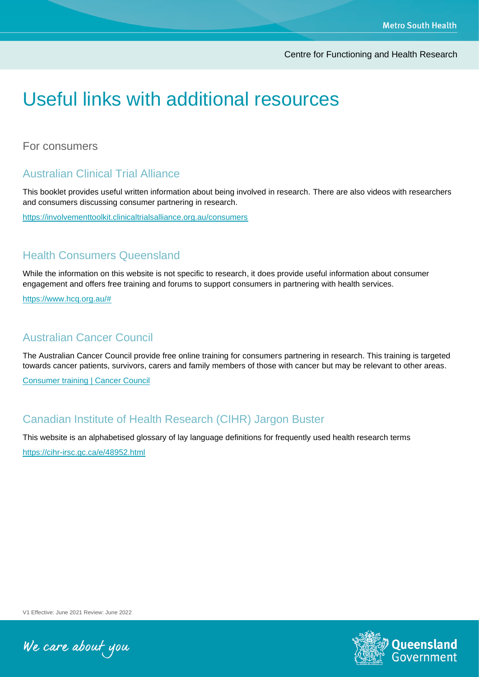Centre for Functioning and Health Research

# Useful links with additional resources

For consumers

## Australian Clinical Trial Alliance

This booklet provides useful written information about being involved in research. There are also videos with researchers and consumers discussing consumer partnering in research.

<https://involvementtoolkit.clinicaltrialsalliance.org.au/consumers>

#### Health Consumers Queensland

While the information on this website is not specific to research, it does provide useful information about consumer engagement and offers free training and forums to support consumers in partnering with health services.

[https://www.hcq.org.au/#](https://www.hcq.org.au/)

#### Australian Cancer Council

The Australian Cancer Council provide free online training for consumers partnering in research. This training is targeted towards cancer patients, survivors, carers and family members of those with cancer but may be relevant to other areas.

[Consumer training | Cancer Council](https://www.cancer.org.au/online-resources/elearning/consumers-in-research-training)

#### Canadian Institute of Health Research (CIHR) Jargon Buster

This website is an alphabetised glossary of lay language definitions for frequently used health research terms

<https://cihr-irsc.gc.ca/e/48952.html>

V1 Effective: June 2021 Review: June 2022